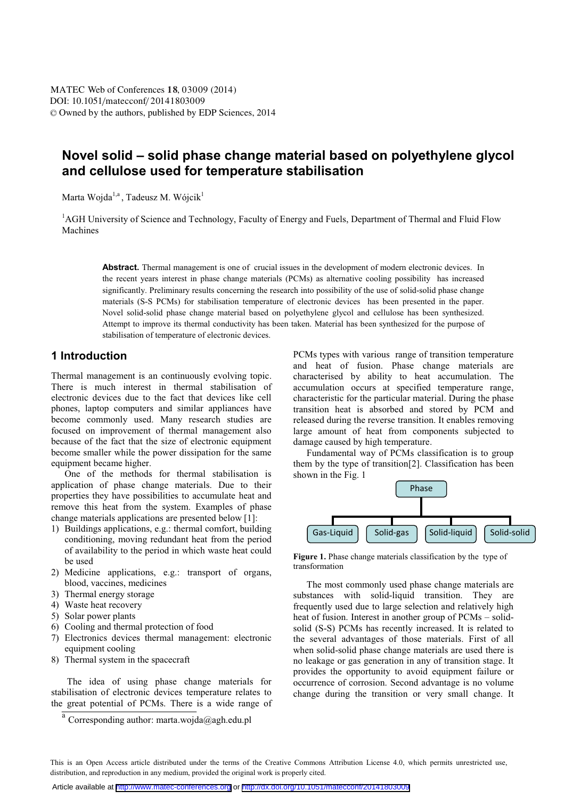# **Novel solid – solid phase change material based on polyethylene glycol and cellulose used for temperature stabilisation**

Marta Wojda<sup>1,a</sup>, Tadeusz M. Wójcik<sup>1</sup>

<sup>1</sup>AGH University of Science and Technology, Faculty of Energy and Fuels, Department of Thermal and Fluid Flow Machines

**Abstract.** Thermal management is one of crucial issues in the development of modern electronic devices. In the recent years interest in phase change materials (PCMs) as alternative cooling possibility has increased significantly. Preliminary results concerning the research into possibility of the use of solid-solid phase change materials (S-S PCMs) for stabilisation temperature of electronic devices has been presented in the paper. Novel solid-solid phase change material based on polyethylene glycol and cellulose has been synthesized. Attempt to improve its thermal conductivity has been taken. Material has been synthesized for the purpose of stabilisation of temperature of electronic devices.

### **1 Introduction**

Thermal management is an continuously evolving topic. There is much interest in thermal stabilisation of electronic devices due to the fact that devices like cell phones, laptop computers and similar appliances have become commonly used. Many research studies are focused on improvement of thermal management also because of the fact that the size of electronic equipment become smaller while the power dissipation for the same equipment became higher.

One of the methods for thermal stabilisation is application of phase change materials. Due to their properties they have possibilities to accumulate heat and remove this heat from the system. Examples of phase change materials applications are presented below [1]:

- 1) Buildings applications, e.g.: thermal comfort, building conditioning, moving redundant heat from the period of availability to the period in which waste heat could be used
- 2) Medicine applications, e.g.: transport of organs, blood, vaccines, medicines
- 3) Thermal energy storage
- 4) Waste heat recovery
- 5) Solar power plants
- 6) Cooling and thermal protection of food
- 7) Electronics devices thermal management: electronic equipment cooling
- 8) Thermal system in the spacecraft

 The idea of using phase change materials for stabilisation of electronic devices temperature relates to the great potential of PCMs. There is a wide range of

PCMs types with various range of transition temperature and heat of fusion. Phase change materials are characterised by ability to heat accumulation. The accumulation occurs at specified temperature range, characteristic for the particular material. During the phase transition heat is absorbed and stored by PCM and released during the reverse transition. It enables removing large amount of heat from components subjected to damage caused by high temperature.

Fundamental way of PCMs classification is to group them by the type of transition[2]. Classification has been shown in the Fig. 1



**Figure 1.** Phase change materials classification by the type of transformation

The most commonly used phase change materials are substances with solid-liquid transition. They are frequently used due to large selection and relatively high heat of fusion. Interest in another group of PCMs – solidsolid (S-S) PCMs has recently increased. It is related to the several advantages of those materials. First of all when solid-solid phase change materials are used there is no leakage or gas generation in any of transition stage. It provides the opportunity to avoid equipment failure or occurrence of corrosion. Second advantage is no volume change during the transition or very small change. It

<sup>&</sup>lt;sup>a</sup> Corresponding author: marta.wojda@agh.edu.pl

This is an Open Access article distributed under the terms of the Creative Commons Attribution License 4.0, which permits unrestricted use, distribution, and reproduction in any medium, provided the original work is properly cited.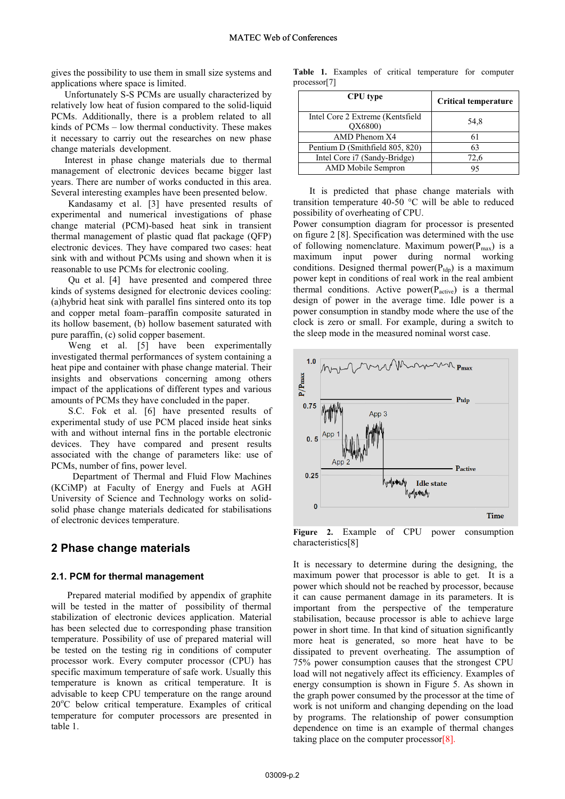gives the possibility to use them in small size systems and applications where space is limited.

Unfortunately S-S PCMs are usually characterized by relatively low heat of fusion compared to the solid-liquid PCMs. Additionally, there is a problem related to all kinds of PCMs – low thermal conductivity. These makes it necessary to carriy out the researches on new phase change materials development.

Interest in phase change materials due to thermal management of electronic devices became bigger last years. There are number of works conducted in this area. Several interesting examples have been presented below.

 Kandasamy et al. [3] have presented results of experimental and numerical investigations of phase change material (PCM)-based heat sink in transient thermal management of plastic quad flat package (QFP) electronic devices. They have compared two cases: heat sink with and without PCMs using and shown when it is reasonable to use PCMs for electronic cooling.

Qu et al. [4] have presented and compered three kinds of systems designed for electronic devices cooling: (a)hybrid heat sink with parallel fins sintered onto its top and copper metal foam–paraffin composite saturated in its hollow basement, (b) hollow basement saturated with pure paraffin, (c) solid copper basement.

 Weng et al. [5] have been experimentally investigated thermal performances of system containing a heat pipe and container with phase change material. Their insights and observations concerning among others impact of the applications of different types and various amounts of PCMs they have concluded in the paper.

 S.C. Fok et al. [6] have presented results of experimental study of use PCM placed inside heat sinks with and without internal fins in the portable electronic devices. They have compared and present results associated with the change of parameters like: use of PCMs, number of fins, power level.

Department of Thermal and Fluid Flow Machines (KCiMP) at Faculty of Energy and Fuels at AGH University of Science and Technology works on solidsolid phase change materials dedicated for stabilisations of electronic devices temperature.

### **2 Phase change materials**

#### **2.1. PCM for thermal management**

 Prepared material modified by appendix of graphite will be tested in the matter of possibility of thermal stabilization of electronic devices application. Material has been selected due to corresponding phase transition temperature. Possibility of use of prepared material will be tested on the testing rig in conditions of computer processor work. Every computer processor (CPU) has specific maximum temperature of safe work. Usually this temperature is known as critical temperature. It is advisable to keep CPU temperature on the range around 20°C below critical temperature. Examples of critical temperature for computer processors are presented in table 1.

**Table 1.** Examples of critical temperature for computer processor[7]

| <b>CPU</b> type                             | <b>Critical temperature</b> |
|---------------------------------------------|-----------------------------|
| Intel Core 2 Extreme (Kentsfield<br>QX6800) | 54,8                        |
| AMD Phenom X4                               | 61                          |
| Pentium D (Smithfield 805, 820)             | 63                          |
| Intel Core i7 (Sandy-Bridge)                | 72.6                        |
| AMD Mobile Sempron                          | 95                          |

 It is predicted that phase change materials with transition temperature 40-50 °C will be able to reduced possibility of overheating of CPU.

Power consumption diagram for processor is presented on figure 2 [8]. Specification was determined with the use of following nomenclature. Maximum power( $P_{max}$ ) is a maximum input power during normal working conditions. Designed thermal power( $P_{tdp}$ ) is a maximum power kept in conditions of real work in the real ambient thermal conditions. Active power( $P_{\text{active}}$ ) is a thermal design of power in the average time. Idle power is a power consumption in standby mode where the use of the clock is zero or small. For example, during a switch to the sleep mode in the measured nominal worst case.



**Figure 2.** Example of CPU power consumption characteristics[8]

It is necessary to determine during the designing, the maximum power that processor is able to get. It is a power which should not be reached by processor, because it can cause permanent damage in its parameters. It is important from the perspective of the temperature stabilisation, because processor is able to achieve large power in short time. In that kind of situation significantly more heat is generated, so more heat have to be dissipated to prevent overheating. The assumption of 75% power consumption causes that the strongest CPU load will not negatively affect its efficiency. Examples of energy consumption is shown in Figure 5. As shown in the graph power consumed by the processor at the time of work is not uniform and changing depending on the load by programs. The relationship of power consumption dependence on time is an example of thermal changes taking place on the computer processor[8].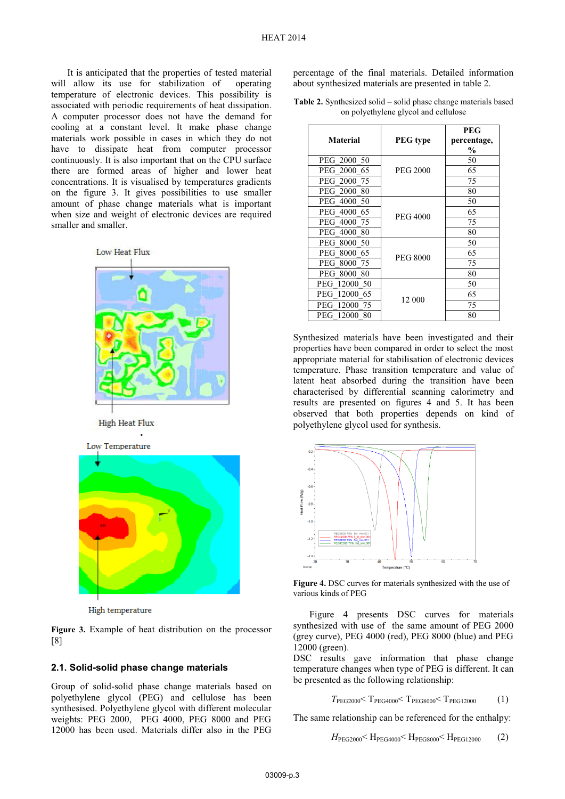It is anticipated that the properties of tested material will allow its use for stabilization of operating temperature of electronic devices. This possibility is associated with periodic requirements of heat dissipation. A computer processor does not have the demand for cooling at a constant level. It make phase change materials work possible in cases in which they do not have to dissipate heat from computer processor continuously. It is also important that on the CPU surface there are formed areas of higher and lower heat concentrations. It is visualised by temperatures gradients on the figure 3. It gives possibilities to use smaller amount of phase change materials what is important when size and weight of electronic devices are required smaller and smaller.





**High Heat Flux** 

Low Temperature



High temperature

**Figure 3.** Example of heat distribution on the processor [8]

#### **2.1. Solid-solid phase change materials**

Group of solid-solid phase change materials based on polyethylene glycol (PEG) and cellulose has been synthesised. Polyethylene glycol with different molecular weights: PEG 2000, PEG 4000, PEG 8000 and PEG 12000 has been used. Materials differ also in the PEG

percentage of the final materials. Detailed information about synthesized materials are presented in table 2.

**Table 2.** Synthesized solid – solid phase change materials based on polyethylene glycol and cellulose

| <b>Material</b> | <b>PEG</b> type | <b>PEG</b><br>percentage,<br>$\frac{6}{9}$ |
|-----------------|-----------------|--------------------------------------------|
| PEG 2000 50     |                 | 50                                         |
| PEG 2000 65     | <b>PEG 2000</b> | 65                                         |
| PEG 2000 75     |                 | 75                                         |
| PEG 2000 80     |                 | 80                                         |
| PEG 4000 50     |                 | 50                                         |
| PEG 4000 65     | <b>PEG 4000</b> | 65                                         |
| PEG 4000 75     |                 | 75                                         |
| PEG 4000 80     |                 | 80                                         |
| PEG 8000 50     |                 | 50                                         |
| PEG 8000 65     | <b>PEG 8000</b> | 65                                         |
| PEG 8000 75     |                 | 75                                         |
| 8000 80<br>PEG- |                 | 80                                         |
| PEG 12000 50    |                 | 50                                         |
| PEG 12000 65    | 12 000          | 65                                         |
| PEG 12000 75    |                 | 75                                         |
| PEG 12000 80    |                 | 80                                         |

Synthesized materials have been investigated and their properties have been compared in order to select the most appropriate material for stabilisation of electronic devices temperature. Phase transition temperature and value of latent heat absorbed during the transition have been characterised by differential scanning calorimetry and results are presented on figures 4 and 5. It has been observed that both properties depends on kind of polyethylene glycol used for synthesis.



**Figure 4.** DSC curves for materials synthesized with the use of various kinds of PEG

Figure 4 presents DSC curves for materials synthesized with use of the same amount of PEG 2000 (grey curve), PEG 4000 (red), PEG 8000 (blue) and PEG 12000 (green).

DSC results gave information that phase change temperature changes when type of PEG is different. It can be presented as the following relationship:

$$
T_{\rm PEG2000} < T_{\rm PEG4000} < T_{\rm PEG8000} < T_{\rm PEG12000} \tag{1}
$$

The same relationship can be referenced for the enthalpy:

$$
H_{\rm PEG2000} < H_{\rm PEG4000} < H_{\rm PEG8000} < H_{\rm PEG12000} \tag{2}
$$